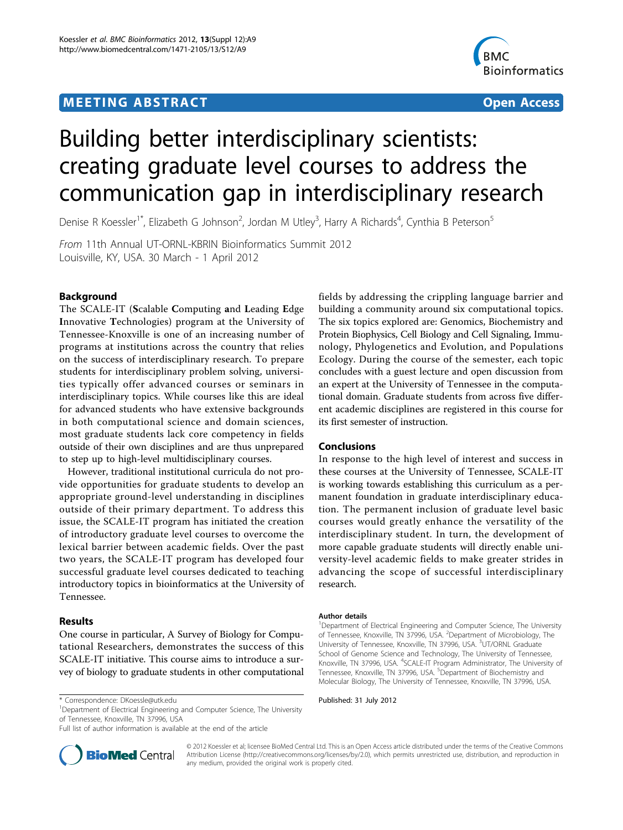## **MEETING ABSTRACT CONSUMING ABSTRACT**



# Building better interdisciplinary scientists: creating graduate level courses to address the communication gap in interdisciplinary research

Denise R Koessler<sup>1\*</sup>, Elizabeth G Johnson<sup>2</sup>, Jordan M Utley<sup>3</sup>, Harry A Richards<sup>4</sup>, Cynthia B Peterson<sup>5</sup>

From 11th Annual UT-ORNL-KBRIN Bioinformatics Summit 2012 Louisville, KY, USA. 30 March - 1 April 2012

### Background

The SCALE-IT (Scalable Computing and Leading Edge Innovative Technologies) program at the University of Tennessee-Knoxville is one of an increasing number of programs at institutions across the country that relies on the success of interdisciplinary research. To prepare students for interdisciplinary problem solving, universities typically offer advanced courses or seminars in interdisciplinary topics. While courses like this are ideal for advanced students who have extensive backgrounds in both computational science and domain sciences, most graduate students lack core competency in fields outside of their own disciplines and are thus unprepared to step up to high-level multidisciplinary courses.

However, traditional institutional curricula do not provide opportunities for graduate students to develop an appropriate ground-level understanding in disciplines outside of their primary department. To address this issue, the SCALE-IT program has initiated the creation of introductory graduate level courses to overcome the lexical barrier between academic fields. Over the past two years, the SCALE-IT program has developed four successful graduate level courses dedicated to teaching introductory topics in bioinformatics at the University of Tennessee.

### Results

One course in particular, A Survey of Biology for Computational Researchers, demonstrates the success of this SCALE-IT initiative. This course aims to introduce a survey of biology to graduate students in other computational

\* Correspondence: [DKoessle@utk.edu](mailto:DKoessle@utk.edu)<br><sup>1</sup>Department of Electrical Engineering and Computer Science, The University **Published: 31 July 2012** of Tennessee, Knoxville, TN 37996, USA

Full list of author information is available at the end of the article



fields by addressing the crippling language barrier and building a community around six computational topics. The six topics explored are: Genomics, Biochemistry and Protein Biophysics, Cell Biology and Cell Signaling, Immunology, Phylogenetics and Evolution, and Populations Ecology. During the course of the semester, each topic concludes with a guest lecture and open discussion from an expert at the University of Tennessee in the computational domain. Graduate students from across five different academic disciplines are registered in this course for its first semester of instruction.

### Conclusions

In response to the high level of interest and success in these courses at the University of Tennessee, SCALE-IT is working towards establishing this curriculum as a permanent foundation in graduate interdisciplinary education. The permanent inclusion of graduate level basic courses would greatly enhance the versatility of the interdisciplinary student. In turn, the development of more capable graduate students will directly enable university-level academic fields to make greater strides in advancing the scope of successful interdisciplinary research.

#### Author details

<sup>1</sup>Department of Electrical Engineering and Computer Science, The University of Tennessee, Knoxville, TN 37996, USA. <sup>2</sup>Department of Microbiology, The University of Tennessee, Knoxville, TN 37996, USA. <sup>3</sup>UT/ORNL Graduate School of Genome Science and Technology, The University of Tennessee, Knoxville, TN 37996, USA. <sup>4</sup>SCALE-IT Program Administrator, The University of Tennessee, Knoxville, TN 37996, USA. <sup>5</sup>Department of Biochemistry and Molecular Biology, The University of Tennessee, Knoxville, TN 37996, USA.

© 2012 Koessler et al; licensee BioMed Central Ltd. This is an Open Access article distributed under the terms of the Creative Commons Attribution License [\(http://creativecommons.org/licenses/by/2.0](http://creativecommons.org/licenses/by/2.0)), which permits unrestricted use, distribution, and reproduction in any medium, provided the original work is properly cited.